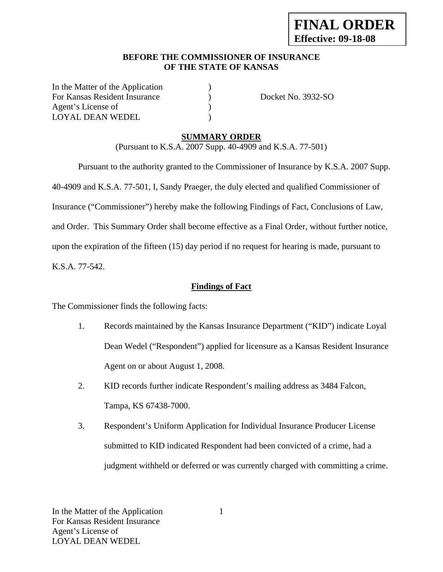# **BEFORE THE COMMISSIONER OF INSURANCE OF THE STATE OF KANSAS**

In the Matter of the Application ) For Kansas Resident Insurance (a) Docket No. 3932-SO Agent's License of  $\qquad \qquad$  ) LOYAL DEAN WEDEL )

# **SUMMARY ORDER**

(Pursuant to K.S.A. 2007 Supp. 40-4909 and K.S.A. 77-501)

 Pursuant to the authority granted to the Commissioner of Insurance by K.S.A. 2007 Supp. 40-4909 and K.S.A. 77-501, I, Sandy Praeger, the duly elected and qualified Commissioner of Insurance ("Commissioner") hereby make the following Findings of Fact, Conclusions of Law, and Order. This Summary Order shall become effective as a Final Order, without further notice, upon the expiration of the fifteen (15) day period if no request for hearing is made, pursuant to K.S.A. 77-542.

# **Findings of Fact**

The Commissioner finds the following facts:

- 1. Records maintained by the Kansas Insurance Department ("KID") indicate Loyal Dean Wedel ("Respondent") applied for licensure as a Kansas Resident Insurance Agent on or about August 1, 2008.
- 2. KID records further indicate Respondent's mailing address as 3484 Falcon, Tampa, KS 67438-7000.
- 3. Respondent's Uniform Application for Individual Insurance Producer License submitted to KID indicated Respondent had been convicted of a crime, had a judgment withheld or deferred or was currently charged with committing a crime.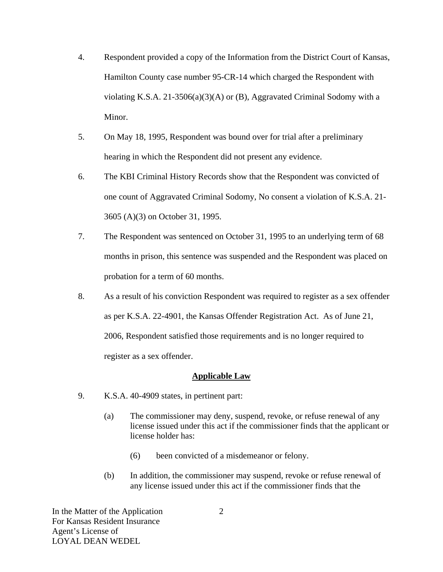- 4. Respondent provided a copy of the Information from the District Court of Kansas, Hamilton County case number 95-CR-14 which charged the Respondent with violating K.S.A. 21-3506(a)(3)(A) or (B), Aggravated Criminal Sodomy with a Minor.
- 5. On May 18, 1995, Respondent was bound over for trial after a preliminary hearing in which the Respondent did not present any evidence.
- 6. The KBI Criminal History Records show that the Respondent was convicted of one count of Aggravated Criminal Sodomy, No consent a violation of K.S.A. 21- 3605 (A)(3) on October 31, 1995.
- 7. The Respondent was sentenced on October 31, 1995 to an underlying term of 68 months in prison, this sentence was suspended and the Respondent was placed on probation for a term of 60 months.
- 8. As a result of his conviction Respondent was required to register as a sex offender as per K.S.A. 22-4901, the Kansas Offender Registration Act. As of June 21, 2006, Respondent satisfied those requirements and is no longer required to register as a sex offender.

## **Applicable Law**

- 9. K.S.A. 40-4909 states, in pertinent part:
	- (a) The commissioner may deny, suspend, revoke, or refuse renewal of any license issued under this act if the commissioner finds that the applicant or license holder has:
		- (6) been convicted of a misdemeanor or felony.
	- (b) In addition, the commissioner may suspend, revoke or refuse renewal of any license issued under this act if the commissioner finds that the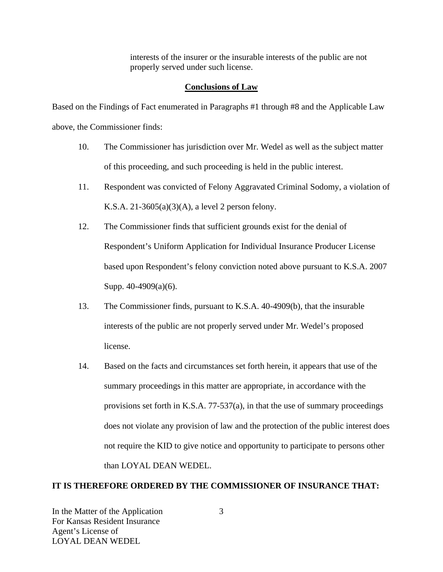interests of the insurer or the insurable interests of the public are not properly served under such license.

## **Conclusions of Law**

Based on the Findings of Fact enumerated in Paragraphs #1 through #8 and the Applicable Law above, the Commissioner finds:

- 10. The Commissioner has jurisdiction over Mr. Wedel as well as the subject matter of this proceeding, and such proceeding is held in the public interest.
- 11. Respondent was convicted of Felony Aggravated Criminal Sodomy, a violation of K.S.A. 21-3605(a)(3)(A), a level 2 person felony.
- 12. The Commissioner finds that sufficient grounds exist for the denial of Respondent's Uniform Application for Individual Insurance Producer License based upon Respondent's felony conviction noted above pursuant to K.S.A. 2007 Supp. 40-4909(a)(6).
- 13. The Commissioner finds, pursuant to K.S.A. 40-4909(b), that the insurable interests of the public are not properly served under Mr. Wedel's proposed license.
- 14. Based on the facts and circumstances set forth herein, it appears that use of the summary proceedings in this matter are appropriate, in accordance with the provisions set forth in K.S.A. 77-537(a), in that the use of summary proceedings does not violate any provision of law and the protection of the public interest does not require the KID to give notice and opportunity to participate to persons other than LOYAL DEAN WEDEL.

## **IT IS THEREFORE ORDERED BY THE COMMISSIONER OF INSURANCE THAT:**

In the Matter of the Application For Kansas Resident Insurance Agent's License of LOYAL DEAN WEDEL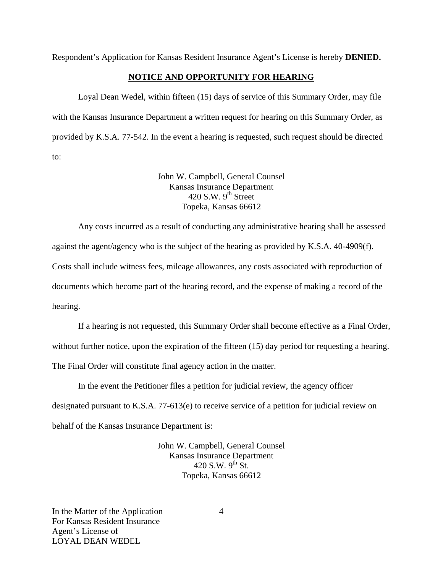Respondent's Application for Kansas Resident Insurance Agent's License is hereby **DENIED.** 

#### **NOTICE AND OPPORTUNITY FOR HEARING**

Loyal Dean Wedel, within fifteen (15) days of service of this Summary Order, may file with the Kansas Insurance Department a written request for hearing on this Summary Order, as provided by K.S.A. 77-542. In the event a hearing is requested, such request should be directed to:

> John W. Campbell, General Counsel Kansas Insurance Department  $420$  S.W. 9<sup>th</sup> Street Topeka, Kansas 66612

Any costs incurred as a result of conducting any administrative hearing shall be assessed against the agent/agency who is the subject of the hearing as provided by K.S.A. 40-4909(f). Costs shall include witness fees, mileage allowances, any costs associated with reproduction of documents which become part of the hearing record, and the expense of making a record of the hearing.

If a hearing is not requested, this Summary Order shall become effective as a Final Order, without further notice, upon the expiration of the fifteen (15) day period for requesting a hearing. The Final Order will constitute final agency action in the matter.

In the event the Petitioner files a petition for judicial review, the agency officer designated pursuant to K.S.A. 77-613(e) to receive service of a petition for judicial review on behalf of the Kansas Insurance Department is:

> John W. Campbell, General Counsel Kansas Insurance Department 420 S.W.  $9^{th}$  St. Topeka, Kansas 66612

In the Matter of the Application For Kansas Resident Insurance Agent's License of LOYAL DEAN WEDEL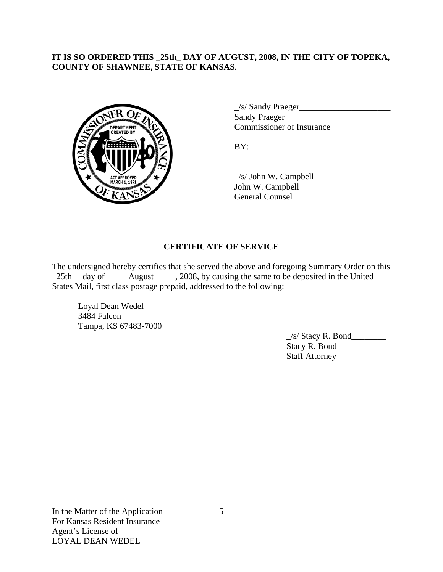# **IT IS SO ORDERED THIS \_25th\_ DAY OF AUGUST, 2008, IN THE CITY OF TOPEKA, COUNTY OF SHAWNEE, STATE OF KANSAS.**



 $\angle$ s/ Sandy Praeger $\angle$  Sandy Praeger COMMISSIONER COMMISSIONER OF Insurance

 \_/s/ John W. Campbell\_\_\_\_\_\_\_\_\_\_\_\_\_\_\_\_\_ John W. Campbell General Counsel

# **CERTIFICATE OF SERVICE**

The undersigned hereby certifies that she served the above and foregoing Summary Order on this \_25th\_\_ day of \_\_\_\_\_August\_\_\_\_\_, 2008, by causing the same to be deposited in the United States Mail, first class postage prepaid, addressed to the following:

 Loyal Dean Wedel 3484 Falcon Tampa, KS 67483-7000

> $\angle$ s/ Stacy R. Bond $\angle$  Stacy R. Bond Staff Attorney